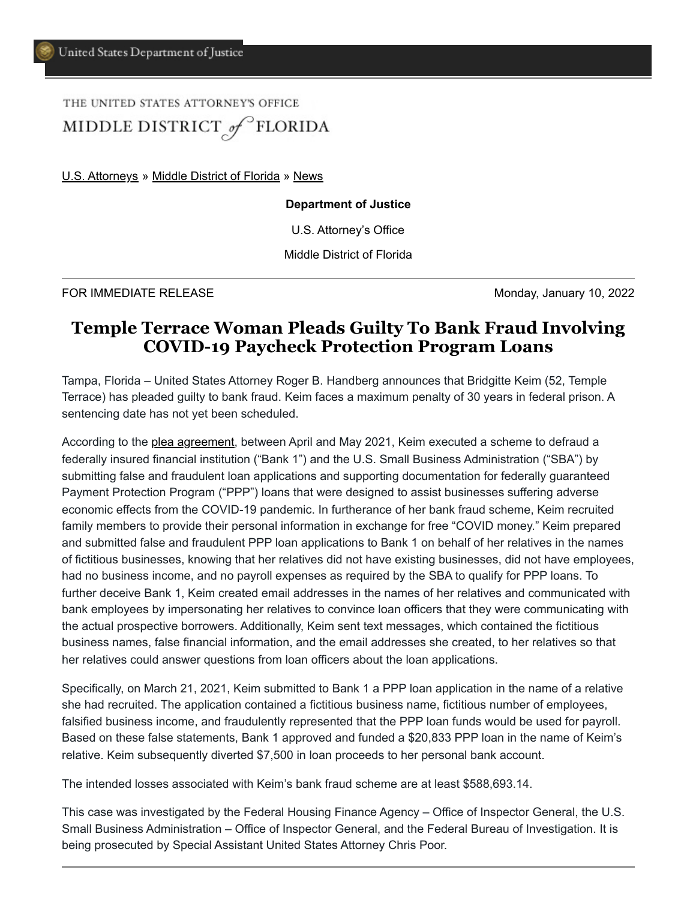## THE UNITED STATES ATTORNEY'S OFFICE MIDDLE DISTRICT of FLORIDA

[U.S. Attorneys](https://www.justice.gov/usao) » [Middle District of Florida](https://www.justice.gov/usao-mdfl) » [News](https://www.justice.gov/usao-mdfl/pr)

## **Department of Justice**

U.S. Attorney's Office

Middle District of Florida

FOR IMMEDIATE RELEASE **Monday, January 10, 2022** 

## **Temple Terrace Woman Pleads Guilty To Bank Fraud Involving COVID-19 Paycheck Protection Program Loans**

Tampa, Florida – United States Attorney Roger B. Handberg announces that Bridgitte Keim (52, Temple Terrace) has pleaded guilty to bank fraud. Keim faces a maximum penalty of 30 years in federal prison. A sentencing date has not yet been scheduled.

According to the [plea agreement](https://www.justice.gov/usao-mdfl/press-release/file/1461441/download), between April and May 2021, Keim executed a scheme to defraud a federally insured financial institution ("Bank 1") and the U.S. Small Business Administration ("SBA") by submitting false and fraudulent loan applications and supporting documentation for federally guaranteed Payment Protection Program ("PPP") loans that were designed to assist businesses suffering adverse economic effects from the COVID-19 pandemic. In furtherance of her bank fraud scheme, Keim recruited family members to provide their personal information in exchange for free "COVID money." Keim prepared and submitted false and fraudulent PPP loan applications to Bank 1 on behalf of her relatives in the names of fictitious businesses, knowing that her relatives did not have existing businesses, did not have employees, had no business income, and no payroll expenses as required by the SBA to qualify for PPP loans. To further deceive Bank 1, Keim created email addresses in the names of her relatives and communicated with bank employees by impersonating her relatives to convince loan officers that they were communicating with the actual prospective borrowers. Additionally, Keim sent text messages, which contained the fictitious business names, false financial information, and the email addresses she created, to her relatives so that her relatives could answer questions from loan officers about the loan applications.

Specifically, on March 21, 2021, Keim submitted to Bank 1 a PPP loan application in the name of a relative she had recruited. The application contained a fictitious business name, fictitious number of employees, falsified business income, and fraudulently represented that the PPP loan funds would be used for payroll. Based on these false statements, Bank 1 approved and funded a \$20,833 PPP loan in the name of Keim's relative. Keim subsequently diverted \$7,500 in loan proceeds to her personal bank account.

The intended losses associated with Keim's bank fraud scheme are at least \$588,693.14.

This case was investigated by the Federal Housing Finance Agency – Office of Inspector General, the U.S. Small Business Administration – Office of Inspector General, and the Federal Bureau of Investigation. It is being prosecuted by Special Assistant United States Attorney Chris Poor.